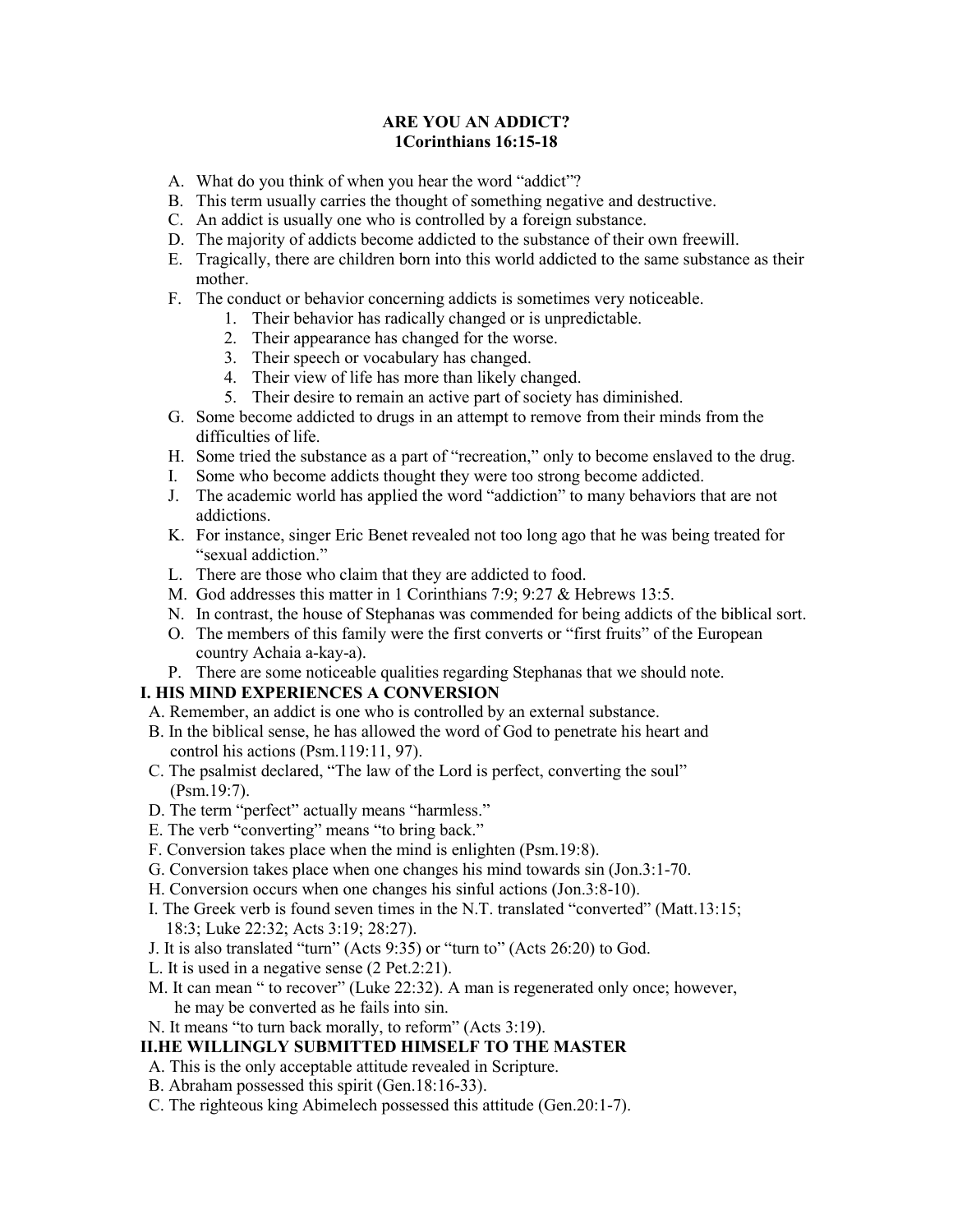### **ARE YOU AN ADDICT? 1Corinthians 16:15-18**

- A. What do you think of when you hear the word "addict"?
- B. This term usually carries the thought of something negative and destructive.
- C. An addict is usually one who is controlled by a foreign substance.
- D. The majority of addicts become addicted to the substance of their own freewill.
- E. Tragically, there are children born into this world addicted to the same substance as their mother.
- F. The conduct or behavior concerning addicts is sometimes very noticeable.
	- 1. Their behavior has radically changed or is unpredictable.
	- 2. Their appearance has changed for the worse.
	- 3. Their speech or vocabulary has changed.
	- 4. Their view of life has more than likely changed.
	- 5. Their desire to remain an active part of society has diminished.
- G. Some become addicted to drugs in an attempt to remove from their minds from the difficulties of life.
- H. Some tried the substance as a part of "recreation," only to become enslaved to the drug.
- I. Some who become addicts thought they were too strong become addicted.
- J. The academic world has applied the word "addiction" to many behaviors that are not addictions.
- K. For instance, singer Eric Benet revealed not too long ago that he was being treated for "sexual addiction."
- L. There are those who claim that they are addicted to food.
- M. God addresses this matter in 1 Corinthians 7:9; 9:27 & Hebrews 13:5.
- N. In contrast, the house of Stephanas was commended for being addicts of the biblical sort.
- O. The members of this family were the first converts or "first fruits" of the European country Achaia a-kay-a).
- P. There are some noticeable qualities regarding Stephanas that we should note.

# **I. HIS MIND EXPERIENCES A CONVERSION**

- A. Remember, an addict is one who is controlled by an external substance.
- B. In the biblical sense, he has allowed the word of God to penetrate his heart and control his actions (Psm.119:11, 97).
- C. The psalmist declared, "The law of the Lord is perfect, converting the soul" (Psm.19:7).
- D. The term "perfect" actually means "harmless."
- E. The verb "converting" means "to bring back."
- F. Conversion takes place when the mind is enlighten (Psm.19:8).
- G. Conversion takes place when one changes his mind towards sin (Jon.3:1-70.
- H. Conversion occurs when one changes his sinful actions (Jon.3:8-10).
- I. The Greek verb is found seven times in the N.T. translated "converted" (Matt.13:15; 18:3; Luke 22:32; Acts 3:19; 28:27).
- J. It is also translated "turn" (Acts 9:35) or "turn to" (Acts 26:20) to God.
- L. It is used in a negative sense (2 Pet.2:21).
- M. It can mean " to recover" (Luke 22:32). A man is regenerated only once; however, he may be converted as he fails into sin.
- N. It means "to turn back morally, to reform" (Acts 3:19).
- **II.HE WILLINGLY SUBMITTED HIMSELF TO THE MASTER**
- A. This is the only acceptable attitude revealed in Scripture.
- B. Abraham possessed this spirit (Gen.18:16-33).
- C. The righteous king Abimelech possessed this attitude (Gen.20:1-7).